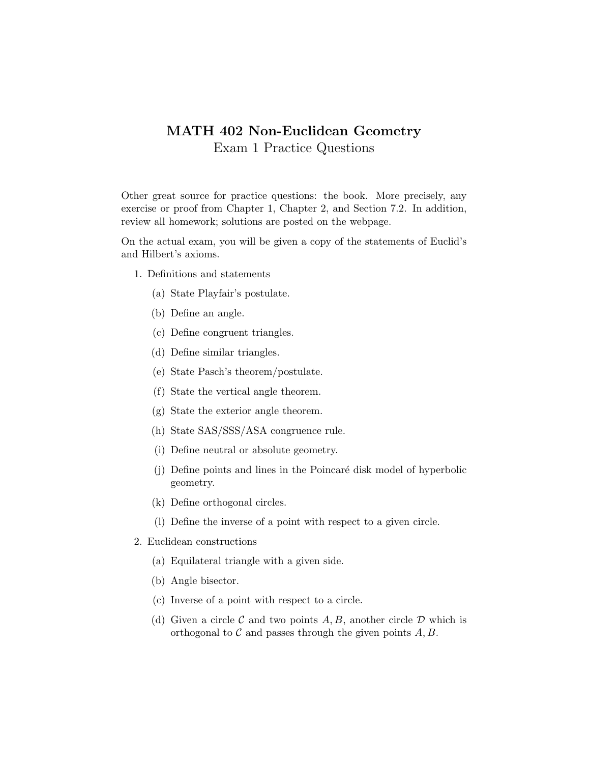## MATH 402 Non-Euclidean Geometry Exam 1 Practice Questions

Other great source for practice questions: the book. More precisely, any exercise or proof from Chapter 1, Chapter 2, and Section 7.2. In addition, review all homework; solutions are posted on the webpage.

On the actual exam, you will be given a copy of the statements of Euclid's and Hilbert's axioms.

- 1. Definitions and statements
	- (a) State Playfair's postulate.
	- (b) Define an angle.
	- (c) Define congruent triangles.
	- (d) Define similar triangles.
	- (e) State Pasch's theorem/postulate.
	- (f) State the vertical angle theorem.
	- (g) State the exterior angle theorem.
	- (h) State SAS/SSS/ASA congruence rule.
	- (i) Define neutral or absolute geometry.
	- (j) Define points and lines in the Poincaré disk model of hyperbolic geometry.
	- (k) Define orthogonal circles.
	- (l) Define the inverse of a point with respect to a given circle.
- 2. Euclidean constructions
	- (a) Equilateral triangle with a given side.
	- (b) Angle bisector.
	- (c) Inverse of a point with respect to a circle.
	- (d) Given a circle  $\mathcal C$  and two points  $A, B$ , another circle  $\mathcal D$  which is orthogonal to  $\mathcal C$  and passes through the given points  $A, B$ .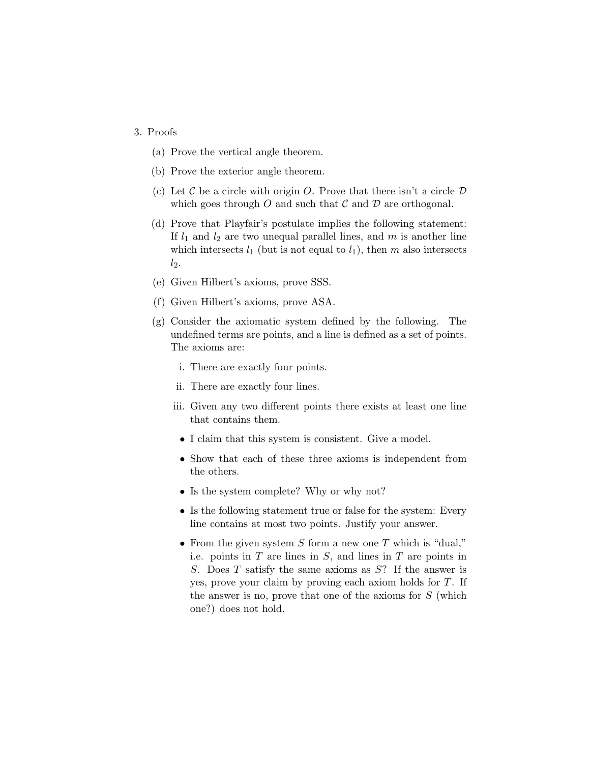## 3. Proofs

- (a) Prove the vertical angle theorem.
- (b) Prove the exterior angle theorem.
- (c) Let C be a circle with origin O. Prove that there isn't a circle  $D$ which goes through O and such that  $\mathcal C$  and  $\mathcal D$  are orthogonal.
- (d) Prove that Playfair's postulate implies the following statement: If  $l_1$  and  $l_2$  are two unequal parallel lines, and m is another line which intersects  $l_1$  (but is not equal to  $l_1$ ), then m also intersects  $l_2$ .
- (e) Given Hilbert's axioms, prove SSS.
- (f) Given Hilbert's axioms, prove ASA.
- (g) Consider the axiomatic system defined by the following. The undefined terms are points, and a line is defined as a set of points. The axioms are:
	- i. There are exactly four points.
	- ii. There are exactly four lines.
	- iii. Given any two different points there exists at least one line that contains them.
		- I claim that this system is consistent. Give a model.
	- Show that each of these three axioms is independent from the others.
	- Is the system complete? Why or why not?
	- Is the following statement true or false for the system: Every line contains at most two points. Justify your answer.
	- From the given system  $S$  form a new one  $T$  which is "dual," i.e. points in  $T$  are lines in  $S$ , and lines in  $T$  are points in S. Does T satisfy the same axioms as S? If the answer is yes, prove your claim by proving each axiom holds for T. If the answer is no, prove that one of the axioms for  $S$  (which one?) does not hold.